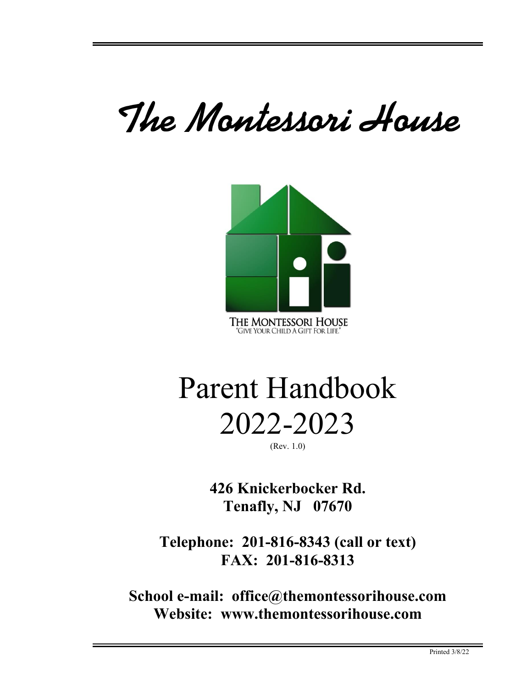# The Montessori House



# Parent Handbook 2022-2023

(Rev. 1.0)

**426 Knickerbocker Rd. Tenafly, NJ 07670**

**Telephone: 201-816-8343 (call or text) FAX: 201-816-8313**

**School e-mail: office@themontessorihouse.com Website: www.themontessorihouse.com**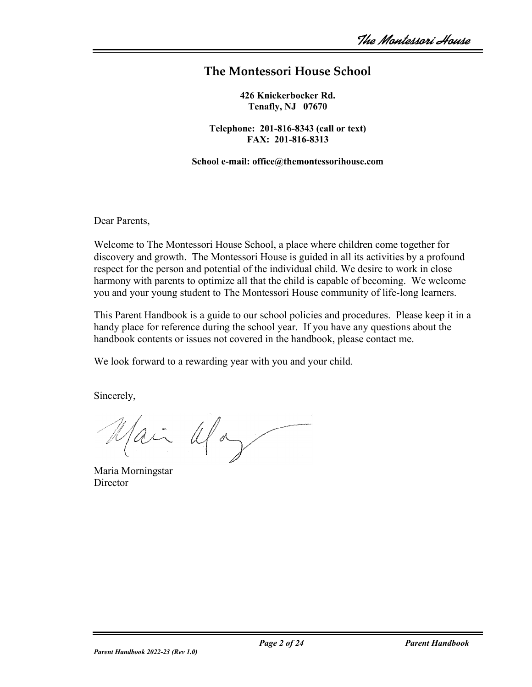## **The Montessori House School**

**426 Knickerbocker Rd. Tenafly, NJ 07670**

**Telephone: 201-816-8343 (call or text) FAX: 201-816-8313**

**School e-mail: office@themontessorihouse.com**

Dear Parents,

Welcome to The Montessori House School, a place where children come together for discovery and growth. The Montessori House is guided in all its activities by a profound respect for the person and potential of the individual child. We desire to work in close harmony with parents to optimize all that the child is capable of becoming. We welcome you and your young student to The Montessori House community of life-long learners.

This Parent Handbook is a guide to our school policies and procedures. Please keep it in a handy place for reference during the school year. If you have any questions about the handbook contents or issues not covered in the handbook, please contact me.

We look forward to a rewarding year with you and your child.

Sincerely,

Jai Ulay

Maria Morningstar **Director**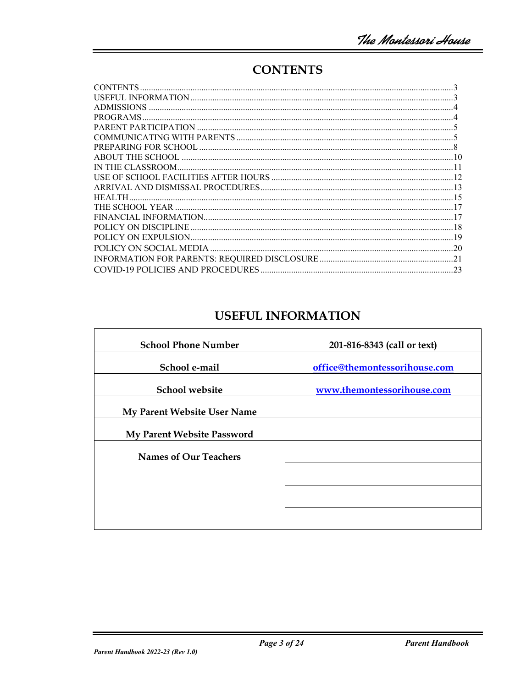# **CONTENTS**

| <b>ADMISSIONS</b> |  |
|-------------------|--|
|                   |  |
|                   |  |
|                   |  |
|                   |  |
|                   |  |
|                   |  |
|                   |  |
|                   |  |
| <b>HEALTH</b>     |  |
|                   |  |
|                   |  |
|                   |  |
|                   |  |
|                   |  |
|                   |  |
|                   |  |

## **USEFUL INFORMATION**

| 201-816-8343 (call or text)   |
|-------------------------------|
| office@themontessorihouse.com |
| www.themontessorihouse.com    |
|                               |
|                               |
|                               |
|                               |
|                               |
|                               |
|                               |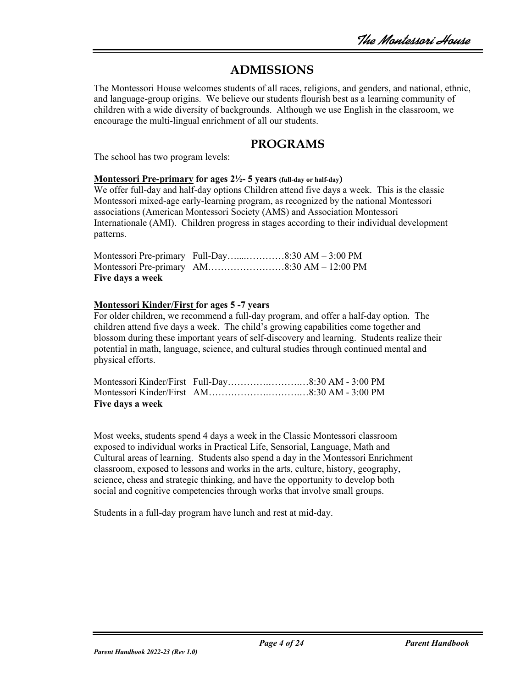## **ADMISSIONS**

The Montessori House welcomes students of all races, religions, and genders, and national, ethnic, and language-group origins. We believe our students flourish best as a learning community of children with a wide diversity of backgrounds. Although we use English in the classroom, we encourage the multi-lingual enrichment of all our students.

## **PROGRAMS**

The school has two program levels:

#### **Montessori Pre-primary for ages 2½- 5 years (full-day or half-day)**

We offer full-day and half-day options Children attend five days a week. This is the classic Montessori mixed-age early-learning program, as recognized by the national Montessori associations (American Montessori Society (AMS) and Association Montessori Internationale (AMI). Children progress in stages according to their individual development patterns.

| Five days a week |  |
|------------------|--|

#### **Montessori Kinder/First for ages 5 -7 years**

For older children, we recommend a full-day program, and offer a half-day option. The children attend five days a week. The child's growing capabilities come together and blossom during these important years of self-discovery and learning. Students realize their potential in math, language, science, and cultural studies through continued mental and physical efforts.

| Five days a week |  |
|------------------|--|

Most weeks, students spend 4 days a week in the Classic Montessori classroom exposed to individual works in Practical Life, Sensorial, Language, Math and Cultural areas of learning. Students also spend a day in the Montessori Enrichment classroom, exposed to lessons and works in the arts, culture, history, geography, science, chess and strategic thinking, and have the opportunity to develop both social and cognitive competencies through works that involve small groups.

Students in a full-day program have lunch and rest at mid-day.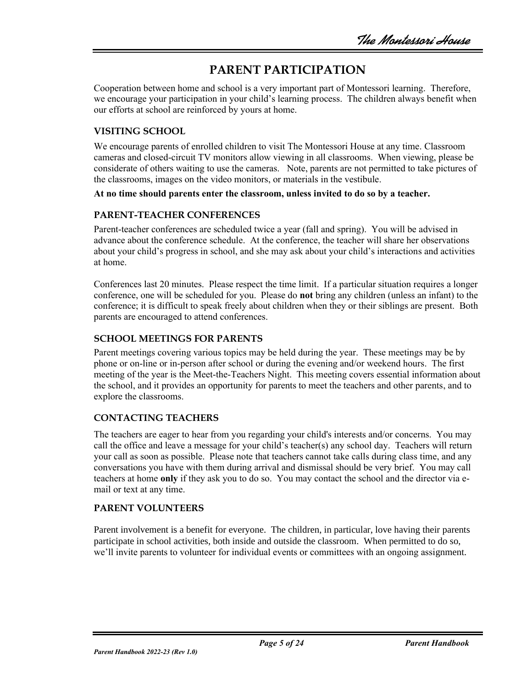# **PARENT PARTICIPATION**

Cooperation between home and school is a very important part of Montessori learning. Therefore, we encourage your participation in your child's learning process. The children always benefit when our efforts at school are reinforced by yours at home.

## **VISITING SCHOOL**

We encourage parents of enrolled children to visit The Montessori House at any time. Classroom cameras and closed-circuit TV monitors allow viewing in all classrooms. When viewing, please be considerate of others waiting to use the cameras. Note, parents are not permitted to take pictures of the classrooms, images on the video monitors, or materials in the vestibule.

#### **At no time should parents enter the classroom, unless invited to do so by a teacher.**

#### **PARENT-TEACHER CONFERENCES**

Parent-teacher conferences are scheduled twice a year (fall and spring). You will be advised in advance about the conference schedule. At the conference, the teacher will share her observations about your child's progress in school, and she may ask about your child's interactions and activities at home.

Conferences last 20 minutes. Please respect the time limit. If a particular situation requires a longer conference, one will be scheduled for you. Please do **not** bring any children (unless an infant) to the conference; it is difficult to speak freely about children when they or their siblings are present. Both parents are encouraged to attend conferences.

#### **SCHOOL MEETINGS FOR PARENTS**

Parent meetings covering various topics may be held during the year. These meetings may be by phone or on-line or in-person after school or during the evening and/or weekend hours. The first meeting of the year is the Meet-the-Teachers Night. This meeting covers essential information about the school, and it provides an opportunity for parents to meet the teachers and other parents, and to explore the classrooms.

#### **CONTACTING TEACHERS**

The teachers are eager to hear from you regarding your child's interests and/or concerns. You may call the office and leave a message for your child's teacher(s) any school day. Teachers will return your call as soon as possible. Please note that teachers cannot take calls during class time, and any conversations you have with them during arrival and dismissal should be very brief. You may call teachers at home **only** if they ask you to do so. You may contact the school and the director via email or text at any time.

#### **PARENT VOLUNTEERS**

Parent involvement is a benefit for everyone. The children, in particular, love having their parents participate in school activities, both inside and outside the classroom. When permitted to do so, we'll invite parents to volunteer for individual events or committees with an ongoing assignment.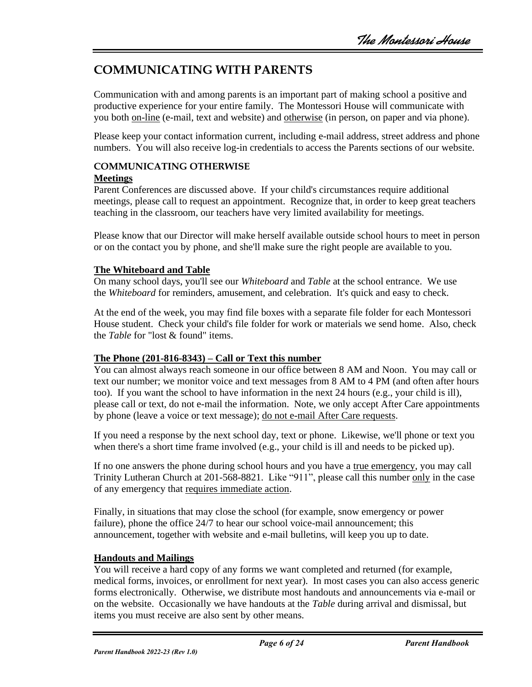# **COMMUNICATING WITH PARENTS**

Communication with and among parents is an important part of making school a positive and productive experience for your entire family. The Montessori House will communicate with you both on-line (e-mail, text and website) and otherwise (in person, on paper and via phone).

Please keep your contact information current, including e-mail address, street address and phone numbers. You will also receive log-in credentials to access the Parents sections of our website.

## **COMMUNICATING OTHERWISE**

### **Meetings**

Parent Conferences are discussed above. If your child's circumstances require additional meetings, please call to request an appointment. Recognize that, in order to keep great teachers teaching in the classroom, our teachers have very limited availability for meetings.

Please know that our Director will make herself available outside school hours to meet in person or on the contact you by phone, and she'll make sure the right people are available to you.

## **The Whiteboard and Table**

On many school days, you'll see our *Whiteboard* and *Table* at the school entrance. We use the *Whiteboard* for reminders, amusement, and celebration. It's quick and easy to check.

At the end of the week, you may find file boxes with a separate file folder for each Montessori House student. Check your child's file folder for work or materials we send home. Also, check the *Table* for "lost & found" items.

## **The Phone (201-816-8343) – Call or Text this number**

You can almost always reach someone in our office between 8 AM and Noon. You may call or text our number; we monitor voice and text messages from 8 AM to 4 PM (and often after hours too). If you want the school to have information in the next 24 hours (e.g., your child is ill), please call or text, do not e-mail the information. Note, we only accept After Care appointments by phone (leave a voice or text message); do not e-mail After Care requests.

If you need a response by the next school day, text or phone. Likewise, we'll phone or text you when there's a short time frame involved (e.g., your child is ill and needs to be picked up).

If no one answers the phone during school hours and you have a true emergency, you may call Trinity Lutheran Church at 201-568-8821. Like "911", please call this number only in the case of any emergency that requires immediate action.

Finally, in situations that may close the school (for example, snow emergency or power failure), phone the office 24/7 to hear our school voice-mail announcement; this announcement, together with website and e-mail bulletins, will keep you up to date.

## **Handouts and Mailings**

You will receive a hard copy of any forms we want completed and returned (for example, medical forms, invoices, or enrollment for next year). In most cases you can also access generic forms electronically. Otherwise, we distribute most handouts and announcements via e-mail or on the website. Occasionally we have handouts at the *Table* during arrival and dismissal, but items you must receive are also sent by other means.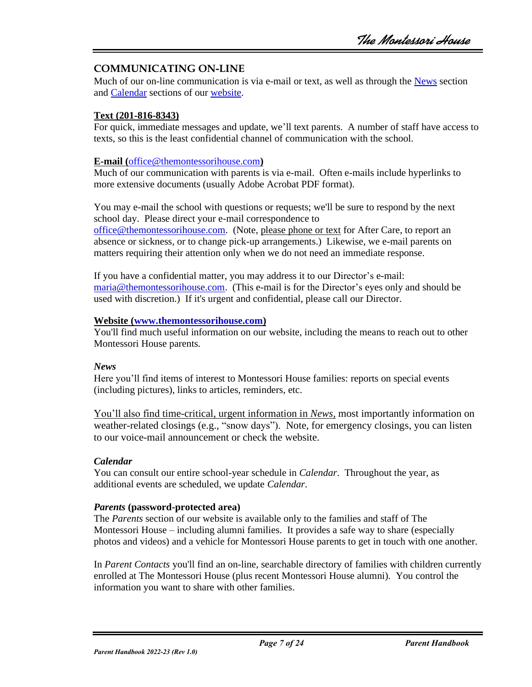#### **COMMUNICATING ON-LINE**

Much of our on-line communication is via e-mail or text, as well as through the [News](http://themontessorihouse.com/blog) section and [Calendar](http://themontessorihouse.com/calendar.html) sections of our [website.](http://themontessorihouse.com/)

#### **Text (201-816-8343)**

For quick, immediate messages and update, we'll text parents. A number of staff have access to texts, so this is the least confidential channel of communication with the school.

#### **E-mail (**[office@themontessorihouse.com](mailto:office@themontessorihouse.com)**)**

Much of our communication with parents is via e-mail. Often e-mails include hyperlinks to more extensive documents (usually Adobe Acrobat PDF format).

You may e-mail the school with questions or requests; we'll be sure to respond by the next school day. Please direct your e-mail correspondence to

[office@themontessorihouse.com.](mailto:office@themontessorihouse.com) (Note, please phone or text for After Care, to report an absence or sickness, or to change pick-up arrangements.) Likewise, we e-mail parents on matters requiring their attention only when we do not need an immediate response.

If you have a confidential matter, you may address it to our Director's e-mail: [maria@themontessorihouse.com.](mailto:maria@themontessorihouse.com) (This e-mail is for the Director's eyes only and should be used with discretion.) If it's urgent and confidential, please call our Director.

#### **Website [\(www.themontessorihouse.com\)](http://themontessorihouse.com/)**

You'll find much useful information on our website, including the means to reach out to other Montessori House parents.

#### *News*

Here you'll find items of interest to Montessori House families: reports on special events (including pictures), links to articles, reminders, etc.

You'll also find time-critical, urgent information in *News,* most importantly information on weather-related closings (e.g., "snow days"). Note, for emergency closings, you can listen to our voice-mail announcement or check the website.

#### *Calendar*

You can consult our entire school-year schedule in *Calendar*. Throughout the year, as additional events are scheduled, we update *Calendar*.

#### *Parents* **(password-protected area)**

The *Parents* section of our website is available only to the families and staff of The Montessori House – including alumni families. It provides a safe way to share (especially photos and videos) and a vehicle for Montessori House parents to get in touch with one another.

In *Parent Contacts* you'll find an on-line, searchable directory of families with children currently enrolled at The Montessori House (plus recent Montessori House alumni). You control the information you want to share with other families.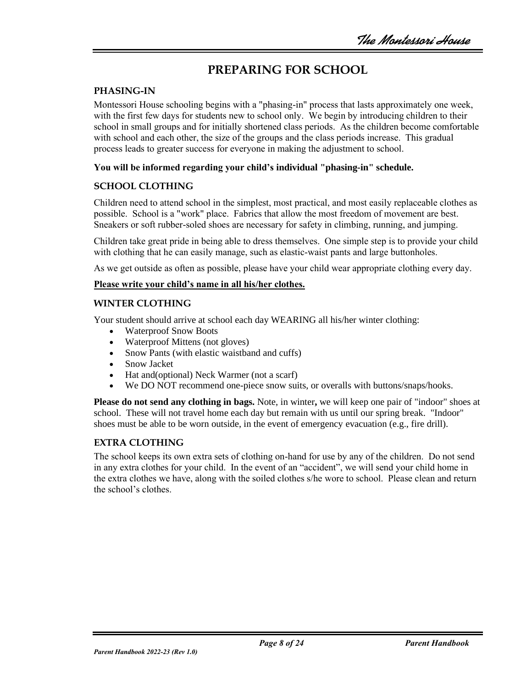# **PREPARING FOR SCHOOL**

#### **PHASING-IN**

Montessori House schooling begins with a "phasing-in" process that lasts approximately one week, with the first few days for students new to school only. We begin by introducing children to their school in small groups and for initially shortened class periods. As the children become comfortable with school and each other, the size of the groups and the class periods increase. This gradual process leads to greater success for everyone in making the adjustment to school.

#### **You will be informed regarding your child's individual "phasing-in" schedule.**

#### **SCHOOL CLOTHING**

Children need to attend school in the simplest, most practical, and most easily replaceable clothes as possible. School is a "work" place. Fabrics that allow the most freedom of movement are best. Sneakers or soft rubber-soled shoes are necessary for safety in climbing, running, and jumping.

Children take great pride in being able to dress themselves. One simple step is to provide your child with clothing that he can easily manage, such as elastic-waist pants and large buttonholes.

As we get outside as often as possible, please have your child wear appropriate clothing every day.

#### **Please write your child's name in all his/her clothes.**

#### **WINTER CLOTHING**

Your student should arrive at school each day WEARING all his/her winter clothing:

- Waterproof Snow Boots
- Waterproof Mittens (not gloves)
- Snow Pants (with elastic waistband and cuffs)
- Snow Jacket
- Hat and (optional) Neck Warmer (not a scarf)
- We DO NOT recommend one-piece snow suits, or overalls with buttons/snaps/hooks.

**Please do not send any clothing in bags.** Note, in winter**,** we will keep one pair of "indoor" shoes at school. These will not travel home each day but remain with us until our spring break. "Indoor" shoes must be able to be worn outside, in the event of emergency evacuation (e.g., fire drill).

#### **EXTRA CLOTHING**

The school keeps its own extra sets of clothing on-hand for use by any of the children. Do not send in any extra clothes for your child. In the event of an "accident", we will send your child home in the extra clothes we have, along with the soiled clothes s/he wore to school. Please clean and return the school's clothes.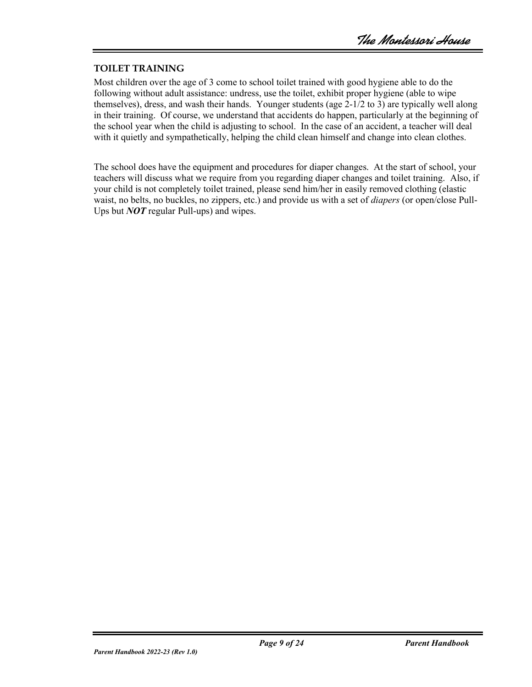#### **TOILET TRAINING**

Most children over the age of 3 come to school toilet trained with good hygiene able to do the following without adult assistance: undress, use the toilet, exhibit proper hygiene (able to wipe themselves), dress, and wash their hands. Younger students (age 2-1/2 to 3) are typically well along in their training. Of course, we understand that accidents do happen, particularly at the beginning of the school year when the child is adjusting to school. In the case of an accident, a teacher will deal with it quietly and sympathetically, helping the child clean himself and change into clean clothes.

The school does have the equipment and procedures for diaper changes. At the start of school, your teachers will discuss what we require from you regarding diaper changes and toilet training. Also, if your child is not completely toilet trained, please send him/her in easily removed clothing (elastic waist, no belts, no buckles, no zippers, etc.) and provide us with a set of *diapers* (or open/close Pull-Ups but *NOT* regular Pull-ups) and wipes.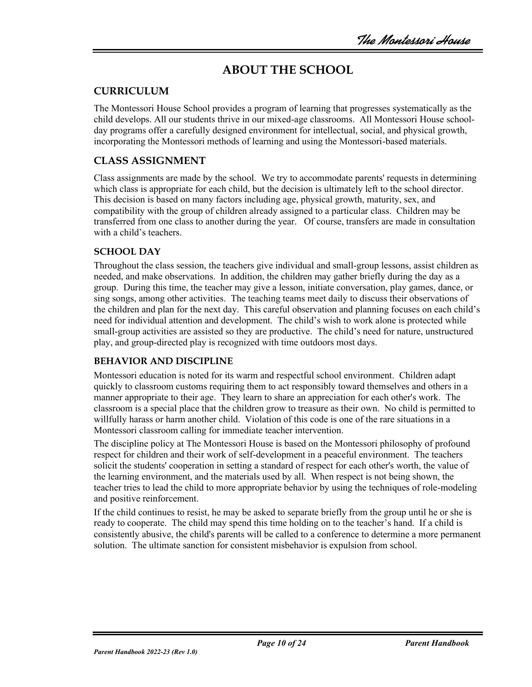# **ABOUT THE SCHOOL**

## **CURRICULUM**

The Montessori House School provides a program of learning that progresses systematically as the child develops. All our students thrive in our mixed-age classrooms. All Montessori House schoolday programs offer a carefully designed environment for intellectual, social, and physical growth, incorporating the Montessori methods of learning and using the Montessori-based materials.

## **CLASS ASSIGNMENT**

Class assignments are made by the school. We try to accommodate parents' requests in determining which class is appropriate for each child, but the decision is ultimately left to the school director. This decision is based on many factors including age, physical growth, maturity, sex, and compatibility with the group of children already assigned to a particular class. Children may be transferred from one class to another during the year. Of course, transfers are made in consultation with a child's teachers.

#### **SCHOOL DAY**

Throughout the class session, the teachers give individual and small-group lessons, assist children as needed, and make observations. In addition, the children may gather briefly during the day as a group. During this time, the teacher may give a lesson, initiate conversation, play games, dance, or sing songs, among other activities. The teaching teams meet daily to discuss their observations of the children and plan for the next day. This careful observation and planning focuses on each child's need for individual attention and development. The child's wish to work alone is protected while small-group activities are assisted so they are productive. The child's need for nature, unstructured play, and group-directed play is recognized with time outdoors most days.

#### **BEHAVIOR AND DISCIPLINE**

Montessori education is noted for its warm and respectful school environment. Children adapt quickly to classroom customs requiring them to act responsibly toward themselves and others in a manner appropriate to their age. They learn to share an appreciation for each other's work. The classroom is a special place that the children grow to treasure as their own. No child is permitted to willfully harass or harm another child. Violation of this code is one of the rare situations in a Montessori classroom calling for immediate teacher intervention.

The discipline policy at The Montessori House is based on the Montessori philosophy of profound respect for children and their work of self-development in a peaceful environment. The teachers solicit the students' cooperation in setting a standard of respect for each other's worth, the value of the learning environment, and the materials used by all. When respect is not being shown, the teacher tries to lead the child to more appropriate behavior by using the techniques of role-modeling and positive reinforcement.

If the child continues to resist, he may be asked to separate briefly from the group until he or she is ready to cooperate. The child may spend this time holding on to the teacher's hand. If a child is consistently abusive, the child's parents will be called to a conference to determine a more permanent solution. The ultimate sanction for consistent misbehavior is expulsion from school.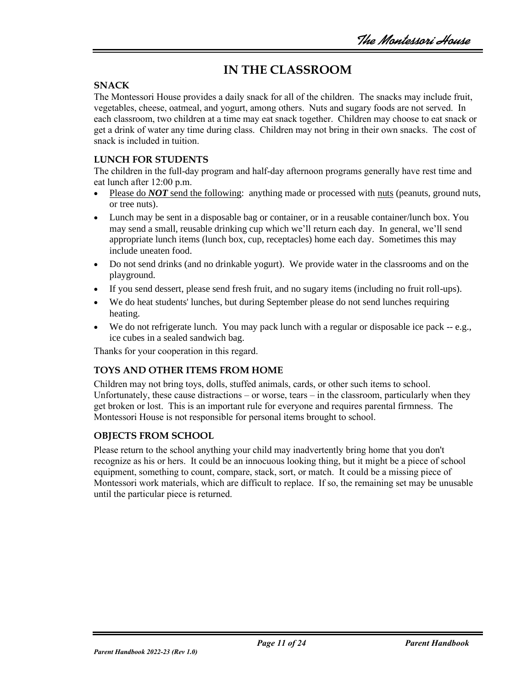# **IN THE CLASSROOM**

#### **SNACK**

The Montessori House provides a daily snack for all of the children. The snacks may include fruit, vegetables, cheese, oatmeal, and yogurt, among others. Nuts and sugary foods are not served. In each classroom, two children at a time may eat snack together. Children may choose to eat snack or get a drink of water any time during class. Children may not bring in their own snacks. The cost of snack is included in tuition.

### **LUNCH FOR STUDENTS**

The children in the full-day program and half-day afternoon programs generally have rest time and eat lunch after 12:00 p.m.

- Please do *NOT* send the following: anything made or processed with nuts (peanuts, ground nuts, or tree nuts).
- Lunch may be sent in a disposable bag or container, or in a reusable container/lunch box. You may send a small, reusable drinking cup which we'll return each day. In general, we'll send appropriate lunch items (lunch box, cup, receptacles) home each day. Sometimes this may include uneaten food.
- Do not send drinks (and no drinkable yogurt). We provide water in the classrooms and on the playground.
- If you send dessert, please send fresh fruit, and no sugary items (including no fruit roll-ups).
- We do heat students' lunches, but during September please do not send lunches requiring heating.
- We do not refrigerate lunch. You may pack lunch with a regular or disposable ice pack -- e.g., ice cubes in a sealed sandwich bag.

Thanks for your cooperation in this regard.

#### **TOYS AND OTHER ITEMS FROM HOME**

Children may not bring toys, dolls, stuffed animals, cards, or other such items to school. Unfortunately, these cause distractions – or worse, tears – in the classroom, particularly when they get broken or lost. This is an important rule for everyone and requires parental firmness. The Montessori House is not responsible for personal items brought to school.

#### **OBJECTS FROM SCHOOL**

Please return to the school anything your child may inadvertently bring home that you don't recognize as his or hers. It could be an innocuous looking thing, but it might be a piece of school equipment, something to count, compare, stack, sort, or match. It could be a missing piece of Montessori work materials, which are difficult to replace. If so, the remaining set may be unusable until the particular piece is returned.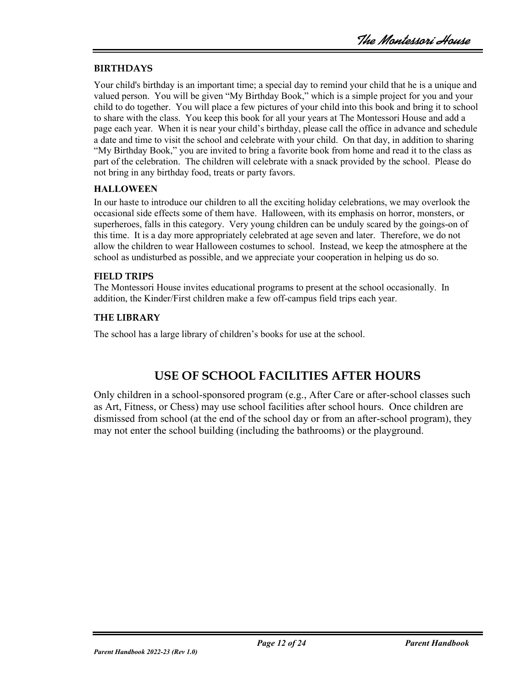#### **BIRTHDAYS**

Your child's birthday is an important time; a special day to remind your child that he is a unique and valued person. You will be given "My Birthday Book," which is a simple project for you and your child to do together. You will place a few pictures of your child into this book and bring it to school to share with the class. You keep this book for all your years at The Montessori House and add a page each year. When it is near your child's birthday, please call the office in advance and schedule a date and time to visit the school and celebrate with your child. On that day, in addition to sharing "My Birthday Book," you are invited to bring a favorite book from home and read it to the class as part of the celebration. The children will celebrate with a snack provided by the school. Please do not bring in any birthday food, treats or party favors.

#### **HALLOWEEN**

In our haste to introduce our children to all the exciting holiday celebrations, we may overlook the occasional side effects some of them have. Halloween, with its emphasis on horror, monsters, or superheroes, falls in this category. Very young children can be unduly scared by the goings-on of this time. It is a day more appropriately celebrated at age seven and later. Therefore, we do not allow the children to wear Halloween costumes to school. Instead, we keep the atmosphere at the school as undisturbed as possible, and we appreciate your cooperation in helping us do so.

#### **FIELD TRIPS**

The Montessori House invites educational programs to present at the school occasionally. In addition, the Kinder/First children make a few off-campus field trips each year.

#### **THE LIBRARY**

The school has a large library of children's books for use at the school.

## **USE OF SCHOOL FACILITIES AFTER HOURS**

Only children in a school-sponsored program (e.g., After Care or after-school classes such as Art, Fitness, or Chess) may use school facilities after school hours. Once children are dismissed from school (at the end of the school day or from an after-school program), they may not enter the school building (including the bathrooms) or the playground.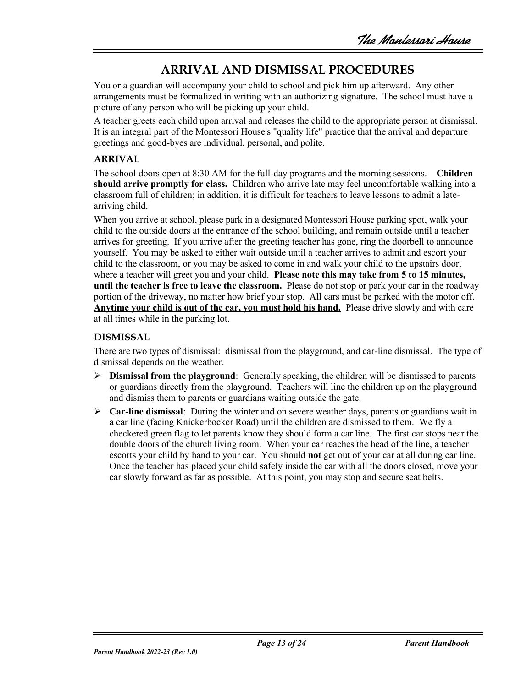## **ARRIVAL AND DISMISSAL PROCEDURES**

You or a guardian will accompany your child to school and pick him up afterward. Any other arrangements must be formalized in writing with an authorizing signature. The school must have a picture of any person who will be picking up your child.

A teacher greets each child upon arrival and releases the child to the appropriate person at dismissal. It is an integral part of the Montessori House's "quality life" practice that the arrival and departure greetings and good-byes are individual, personal, and polite.

## **ARRIVAL**

The school doors open at 8:30 AM for the full-day programs and the morning sessions. **Children should arrive promptly for class.** Children who arrive late may feel uncomfortable walking into a classroom full of children; in addition, it is difficult for teachers to leave lessons to admit a latearriving child.

When you arrive at school, please park in a designated Montessori House parking spot, walk your child to the outside doors at the entrance of the school building, and remain outside until a teacher arrives for greeting. If you arrive after the greeting teacher has gone, ring the doorbell to announce yourself. You may be asked to either wait outside until a teacher arrives to admit and escort your child to the classroom, or you may be asked to come in and walk your child to the upstairs door, where a teacher will greet you and your child. **Please note this may take from 5 to 15 minutes, until the teacher is free to leave the classroom.** Please do not stop or park your car in the roadway portion of the driveway, no matter how brief your stop. All cars must be parked with the motor off. **Anytime your child is out of the car, you must hold his hand.** Please drive slowly and with care at all times while in the parking lot.

### **DISMISSAL**

There are two types of dismissal: dismissal from the playground, and car-line dismissal. The type of dismissal depends on the weather.

- ➢ **Dismissal from the playground**: Generally speaking, the children will be dismissed to parents or guardians directly from the playground. Teachers will line the children up on the playground and dismiss them to parents or guardians waiting outside the gate.
- ➢ **Car-line dismissal**: During the winter and on severe weather days, parents or guardians wait in a car line (facing Knickerbocker Road) until the children are dismissed to them. We fly a checkered green flag to let parents know they should form a car line. The first car stops near the double doors of the church living room. When your car reaches the head of the line, a teacher escorts your child by hand to your car. You should **not** get out of your car at all during car line. Once the teacher has placed your child safely inside the car with all the doors closed, move your car slowly forward as far as possible. At this point, you may stop and secure seat belts.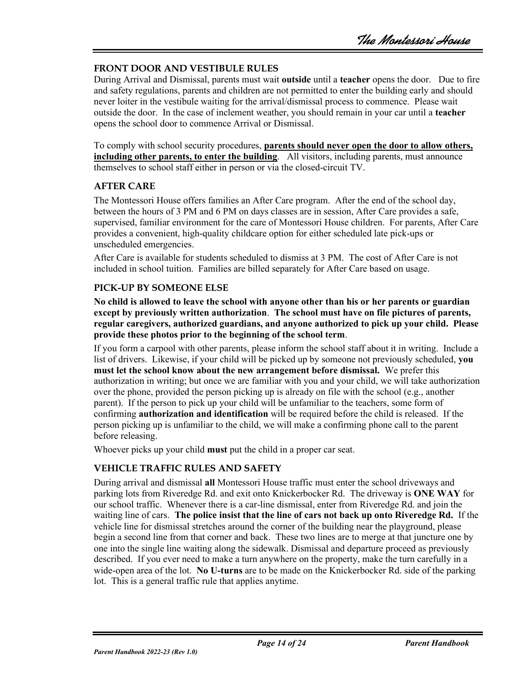#### **FRONT DOOR AND VESTIBULE RULES**

During Arrival and Dismissal, parents must wait **outside** until a **teacher** opens the door. Due to fire and safety regulations, parents and children are not permitted to enter the building early and should never loiter in the vestibule waiting for the arrival/dismissal process to commence. Please wait outside the door. In the case of inclement weather, you should remain in your car until a **teacher** opens the school door to commence Arrival or Dismissal.

To comply with school security procedures, **parents should never open the door to allow others, including other parents, to enter the building**. All visitors, including parents, must announce themselves to school staff either in person or via the closed-circuit TV.

#### **AFTER CARE**

The Montessori House offers families an After Care program. After the end of the school day, between the hours of 3 PM and 6 PM on days classes are in session, After Care provides a safe, supervised, familiar environment for the care of Montessori House children. For parents, After Care provides a convenient, high-quality childcare option for either scheduled late pick-ups or unscheduled emergencies.

After Care is available for students scheduled to dismiss at 3 PM. The cost of After Care is not included in school tuition. Families are billed separately for After Care based on usage.

#### **PICK-UP BY SOMEONE ELSE**

**No child is allowed to leave the school with anyone other than his or her parents or guardian except by previously written authorization**. **The school must have on file pictures of parents, regular caregivers, authorized guardians, and anyone authorized to pick up your child. Please provide these photos prior to the beginning of the school term**.

If you form a carpool with other parents, please inform the school staff about it in writing. Include a list of drivers. Likewise, if your child will be picked up by someone not previously scheduled, **you must let the school know about the new arrangement before dismissal.** We prefer this authorization in writing; but once we are familiar with you and your child, we will take authorization over the phone, provided the person picking up is already on file with the school (e.g., another parent). If the person to pick up your child will be unfamiliar to the teachers, some form of confirming **authorization and identification** will be required before the child is released. If the person picking up is unfamiliar to the child, we will make a confirming phone call to the parent before releasing.

Whoever picks up your child **must** put the child in a proper car seat.

#### **VEHICLE TRAFFIC RULES AND SAFETY**

During arrival and dismissal **all** Montessori House traffic must enter the school driveways and parking lots from Riveredge Rd. and exit onto Knickerbocker Rd. The driveway is **ONE WAY** for our school traffic. Whenever there is a car-line dismissal, enter from Riveredge Rd. and join the waiting line of cars. **The police insist that the line of cars not back up onto Riveredge Rd.** If the vehicle line for dismissal stretches around the corner of the building near the playground, please begin a second line from that corner and back. These two lines are to merge at that juncture one by one into the single line waiting along the sidewalk. Dismissal and departure proceed as previously described. If you ever need to make a turn anywhere on the property, make the turn carefully in a wide-open area of the lot. **No U-turns** are to be made on the Knickerbocker Rd. side of the parking lot. This is a general traffic rule that applies anytime.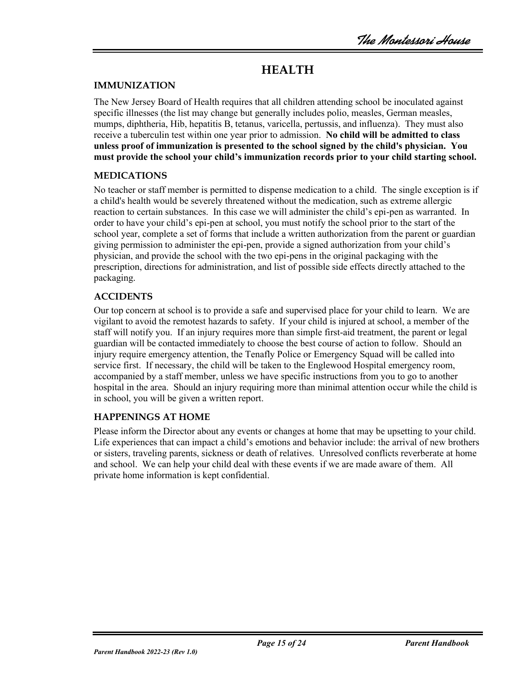# **HEALTH**

#### **IMMUNIZATION**

The New Jersey Board of Health requires that all children attending school be inoculated against specific illnesses (the list may change but generally includes polio, measles, German measles, mumps, diphtheria, Hib, hepatitis B, tetanus, varicella, pertussis, and influenza). They must also receive a tuberculin test within one year prior to admission. **No child will be admitted to class unless proof of immunization is presented to the school signed by the child's physician. You must provide the school your child's immunization records prior to your child starting school.** 

#### **MEDICATIONS**

No teacher or staff member is permitted to dispense medication to a child. The single exception is if a child's health would be severely threatened without the medication, such as extreme allergic reaction to certain substances. In this case we will administer the child's epi-pen as warranted. In order to have your child's epi-pen at school, you must notify the school prior to the start of the school year, complete a set of forms that include a written authorization from the parent or guardian giving permission to administer the epi-pen, provide a signed authorization from your child's physician, and provide the school with the two epi-pens in the original packaging with the prescription, directions for administration, and list of possible side effects directly attached to the packaging.

#### **ACCIDENTS**

Our top concern at school is to provide a safe and supervised place for your child to learn. We are vigilant to avoid the remotest hazards to safety. If your child is injured at school, a member of the staff will notify you. If an injury requires more than simple first-aid treatment, the parent or legal guardian will be contacted immediately to choose the best course of action to follow. Should an injury require emergency attention, the Tenafly Police or Emergency Squad will be called into service first. If necessary, the child will be taken to the Englewood Hospital emergency room, accompanied by a staff member, unless we have specific instructions from you to go to another hospital in the area. Should an injury requiring more than minimal attention occur while the child is in school, you will be given a written report.

#### **HAPPENINGS AT HOME**

Please inform the Director about any events or changes at home that may be upsetting to your child. Life experiences that can impact a child's emotions and behavior include: the arrival of new brothers or sisters, traveling parents, sickness or death of relatives. Unresolved conflicts reverberate at home and school. We can help your child deal with these events if we are made aware of them. All private home information is kept confidential.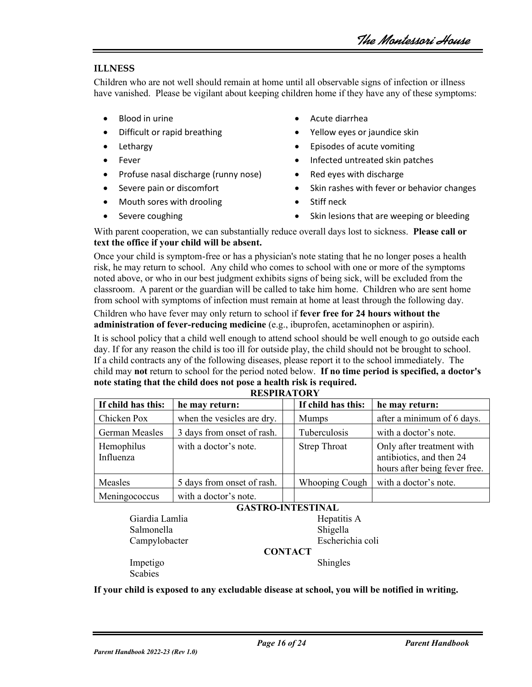#### **ILLNESS**

Children who are not well should remain at home until all observable signs of infection or illness have vanished. Please be vigilant about keeping children home if they have any of these symptoms:

- 
- 
- 
- 
- Profuse nasal discharge (runny nose) Red eyes with discharge
- 
- Mouth sores with drooling Stiff neck
- 
- Blood in urine Acute diarrhea
- Difficult or rapid breathing  $\bullet$  Yellow eyes or jaundice skin
	- **Lethargy Lethargy Lethargy Lethargy Lethargy Lethargy Lethargy Lethargy Lethargy Lethargy Lethargy Lethargy Lethargy Lethargy Lethargy Lethargy Lethargy**
	- Fever Infected untreated skin patches
		-
- Severe pain or discomfort Skin rashes with fever or behavior changes
	-
	- Severe coughing **Fig. 2.1.** Skin lesions that are weeping or bleeding

With parent cooperation, we can substantially reduce overall days lost to sickness. **Please call or text the office if your child will be absent.** 

Once your child is symptom-free or has a physician's note stating that he no longer poses a health risk, he may return to school. Any child who comes to school with one or more of the symptoms noted above, or who in our best judgment exhibits signs of being sick, will be excluded from the classroom. A parent or the guardian will be called to take him home. Children who are sent home from school with symptoms of infection must remain at home at least through the following day.

#### Children who have fever may only return to school if **fever free for 24 hours without the administration of fever-reducing medicine** (e.g., ibuprofen, acetaminophen or aspirin).

It is school policy that a child well enough to attend school should be well enough to go outside each day. If for any reason the child is too ill for outside play, the child should not be brought to school. If a child contracts any of the following diseases, please report it to the school immediately. The child may **not** return to school for the period noted below. **If no time period is specified, a doctor's note stating that the child does not pose a health risk is required. RESPIRATORY**

| If child has this:      | he may return:             | If child has this:  | he may return:                                                                         |  |  |  |
|-------------------------|----------------------------|---------------------|----------------------------------------------------------------------------------------|--|--|--|
| Chicken Pox             | when the vesicles are dry. | <b>Mumps</b>        | after a minimum of 6 days.                                                             |  |  |  |
| <b>German Measles</b>   | 3 days from onset of rash. | Tuberculosis        | with a doctor's note.                                                                  |  |  |  |
| Hemophilus<br>Influenza | with a doctor's note.      | <b>Strep Throat</b> | Only after treatment with<br>antibiotics, and then 24<br>hours after being fever free. |  |  |  |
| Measles                 | 5 days from onset of rash. | Whooping Cough      | with a doctor's note.                                                                  |  |  |  |
| Meningococcus           | with a doctor's note.      |                     |                                                                                        |  |  |  |

#### **GASTRO-INTESTINAL** Giardia Lamlia **Hepatitis A** Salmonella Shigella Campylobacter Escherichia coli **CONTACT** Impetigo Shingles Scabies

**If your child is exposed to any excludable disease at school, you will be notified in writing.**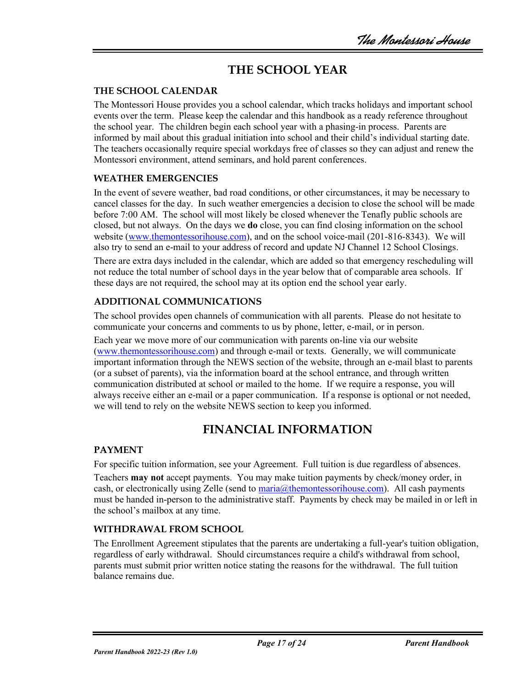# **THE SCHOOL YEAR**

### **THE SCHOOL CALENDAR**

The Montessori House provides you a school calendar, which tracks holidays and important school events over the term. Please keep the calendar and this handbook as a ready reference throughout the school year. The children begin each school year with a phasing-in process. Parents are informed by mail about this gradual initiation into school and their child's individual starting date. The teachers occasionally require special workdays free of classes so they can adjust and renew the Montessori environment, attend seminars, and hold parent conferences.

### **WEATHER EMERGENCIES**

In the event of severe weather, bad road conditions, or other circumstances, it may be necessary to cancel classes for the day. In such weather emergencies a decision to close the school will be made before 7:00 AM. The school will most likely be closed whenever the Tenafly public schools are closed, but not always. On the days we **do** close, you can find closing information on the school website [\(www.themontessorihouse.com\)](http://www.themontessorihouse.com/), and on the school voice-mail (201-816-8343). We will also try to send an e-mail to your address of record and update NJ Channel 12 School Closings.

There are extra days included in the calendar, which are added so that emergency rescheduling will not reduce the total number of school days in the year below that of comparable area schools. If these days are not required, the school may at its option end the school year early.

## **ADDITIONAL COMMUNICATIONS**

The school provides open channels of communication with all parents. Please do not hesitate to communicate your concerns and comments to us by phone, letter, e-mail, or in person.

Each year we move more of our communication with parents on-line via our website [\(www.themontessorihouse.com\)](http://www.themontessorihouse.com/) and through e-mail or texts. Generally, we will communicate important information through the NEWS section of the website, through an e-mail blast to parents (or a subset of parents), via the information board at the school entrance, and through written communication distributed at school or mailed to the home. If we require a response, you will always receive either an e-mail or a paper communication. If a response is optional or not needed, we will tend to rely on the website NEWS section to keep you informed.

## **FINANCIAL INFORMATION**

#### **PAYMENT**

For specific tuition information, see your Agreement. Full tuition is due regardless of absences.

Teachers **may not** accept payments. You may make tuition payments by check/money order, in cash, or electronically using Zelle (send to  $\text{maria}(\hat{a})$ themontessorihouse.com). All cash payments must be handed in-person to the administrative staff. Payments by check may be mailed in or left in the school's mailbox at any time.

## **WITHDRAWAL FROM SCHOOL**

The Enrollment Agreement stipulates that the parents are undertaking a full-year's tuition obligation, regardless of early withdrawal. Should circumstances require a child's withdrawal from school, parents must submit prior written notice stating the reasons for the withdrawal. The full tuition balance remains due.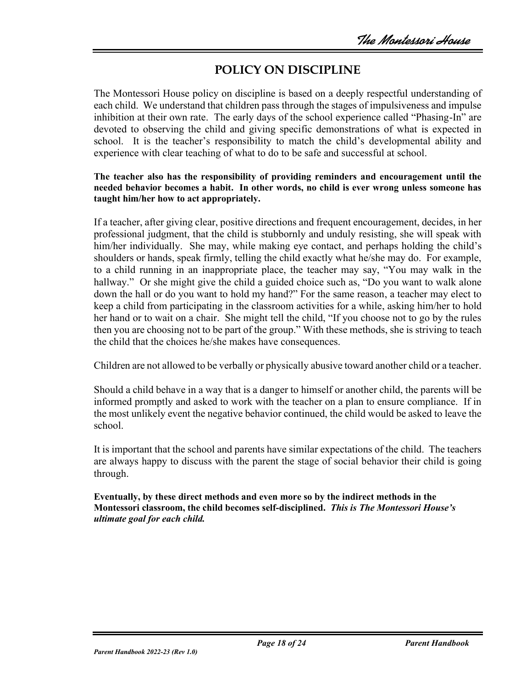# **POLICY ON DISCIPLINE**

The Montessori House policy on discipline is based on a deeply respectful understanding of each child. We understand that children pass through the stages of impulsiveness and impulse inhibition at their own rate. The early days of the school experience called "Phasing-In" are devoted to observing the child and giving specific demonstrations of what is expected in school. It is the teacher's responsibility to match the child's developmental ability and experience with clear teaching of what to do to be safe and successful at school.

#### **The teacher also has the responsibility of providing reminders and encouragement until the needed behavior becomes a habit. In other words, no child is ever wrong unless someone has taught him/her how to act appropriately.**

If a teacher, after giving clear, positive directions and frequent encouragement, decides, in her professional judgment, that the child is stubbornly and unduly resisting, she will speak with him/her individually. She may, while making eye contact, and perhaps holding the child's shoulders or hands, speak firmly, telling the child exactly what he/she may do. For example, to a child running in an inappropriate place, the teacher may say, "You may walk in the hallway." Or she might give the child a guided choice such as, "Do you want to walk alone down the hall or do you want to hold my hand?" For the same reason, a teacher may elect to keep a child from participating in the classroom activities for a while, asking him/her to hold her hand or to wait on a chair. She might tell the child, "If you choose not to go by the rules then you are choosing not to be part of the group." With these methods, she is striving to teach the child that the choices he/she makes have consequences.

Children are not allowed to be verbally or physically abusive toward another child or a teacher.

Should a child behave in a way that is a danger to himself or another child, the parents will be informed promptly and asked to work with the teacher on a plan to ensure compliance. If in the most unlikely event the negative behavior continued, the child would be asked to leave the school.

It is important that the school and parents have similar expectations of the child. The teachers are always happy to discuss with the parent the stage of social behavior their child is going through.

**Eventually, by these direct methods and even more so by the indirect methods in the Montessori classroom, the child becomes self-disciplined.** *This is The Montessori House's ultimate goal for each child.*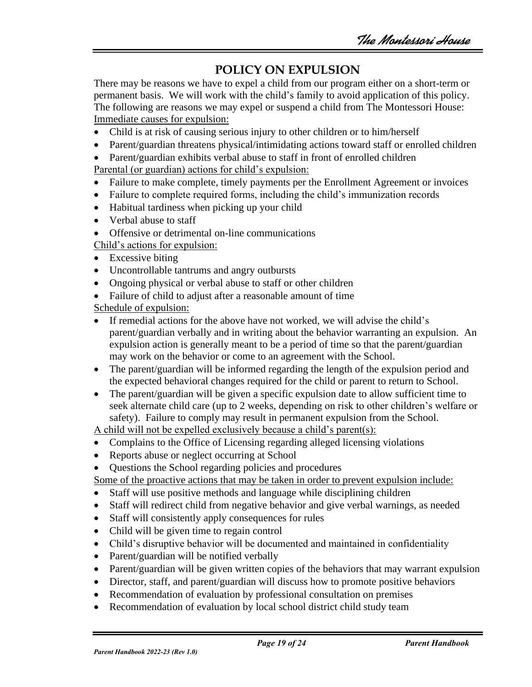# **POLICY ON EXPULSION**

There may be reasons we have to expel a child from our program either on a short-term or permanent basis. We will work with the child's family to avoid application of this policy. The following are reasons we may expel or suspend a child from The Montessori House: Immediate causes for expulsion:

- Child is at risk of causing serious injury to other children or to him/herself
- Parent/guardian threatens physical/intimidating actions toward staff or enrolled children
- Parent/guardian exhibits verbal abuse to staff in front of enrolled children

Parental (or guardian) actions for child's expulsion:

- Failure to make complete, timely payments per the Enrollment Agreement or invoices
- Failure to complete required forms, including the child's immunization records
- Habitual tardiness when picking up your child
- Verbal abuse to staff
- Offensive or detrimental on-line communications

Child's actions for expulsion:

- Excessive biting
- Uncontrollable tantrums and angry outbursts
- Ongoing physical or verbal abuse to staff or other children
- Failure of child to adjust after a reasonable amount of time

Schedule of expulsion:

- If remedial actions for the above have not worked, we will advise the child's parent/guardian verbally and in writing about the behavior warranting an expulsion. An expulsion action is generally meant to be a period of time so that the parent/guardian may work on the behavior or come to an agreement with the School.
- The parent/guardian will be informed regarding the length of the expulsion period and the expected behavioral changes required for the child or parent to return to School.
- The parent/guardian will be given a specific expulsion date to allow sufficient time to seek alternate child care (up to 2 weeks, depending on risk to other children's welfare or safety). Failure to comply may result in permanent expulsion from the School.

A child will not be expelled exclusively because a child's parent(s):

- Complains to the Office of Licensing regarding alleged licensing violations
- Reports abuse or neglect occurring at School
- Questions the School regarding policies and procedures

Some of the proactive actions that may be taken in order to prevent expulsion include:

- Staff will use positive methods and language while disciplining children
- Staff will redirect child from negative behavior and give verbal warnings, as needed
- Staff will consistently apply consequences for rules
- Child will be given time to regain control
- Child's disruptive behavior will be documented and maintained in confidentiality
- Parent/guardian will be notified verbally
- Parent/guardian will be given written copies of the behaviors that may warrant expulsion
- Director, staff, and parent/guardian will discuss how to promote positive behaviors
- Recommendation of evaluation by professional consultation on premises
- Recommendation of evaluation by local school district child study team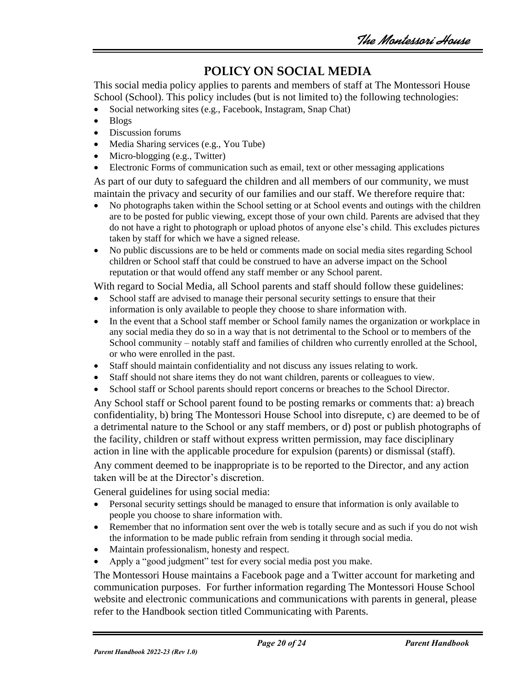# **POLICY ON SOCIAL MEDIA**

This social media policy applies to parents and members of staff at The Montessori House School (School). This policy includes (but is not limited to) the following technologies:

- Social networking sites (e.g., Facebook, Instagram, Snap Chat)
- Blogs
- Discussion forums
- Media Sharing services (e.g., You Tube)
- Micro-blogging (e.g., Twitter)
- Electronic Forms of communication such as email, text or other messaging applications

As part of our duty to safeguard the children and all members of our community, we must maintain the privacy and security of our families and our staff. We therefore require that:

- No photographs taken within the School setting or at School events and outings with the children are to be posted for public viewing, except those of your own child. Parents are advised that they do not have a right to photograph or upload photos of anyone else's child. This excludes pictures taken by staff for which we have a signed release.
- No public discussions are to be held or comments made on social media sites regarding School children or School staff that could be construed to have an adverse impact on the School reputation or that would offend any staff member or any School parent.

With regard to Social Media, all School parents and staff should follow these guidelines:

- School staff are advised to manage their personal security settings to ensure that their information is only available to people they choose to share information with.
- In the event that a School staff member or School family names the organization or workplace in any social media they do so in a way that is not detrimental to the School or to members of the School community – notably staff and families of children who currently enrolled at the School, or who were enrolled in the past.
- Staff should maintain confidentiality and not discuss any issues relating to work.
- Staff should not share items they do not want children, parents or colleagues to view.
- School staff or School parents should report concerns or breaches to the School Director.

Any School staff or School parent found to be posting remarks or comments that: a) breach confidentiality, b) bring The Montessori House School into disrepute, c) are deemed to be of a detrimental nature to the School or any staff members, or d) post or publish photographs of the facility, children or staff without express written permission, may face disciplinary action in line with the applicable procedure for expulsion (parents) or dismissal (staff).

Any comment deemed to be inappropriate is to be reported to the Director, and any action taken will be at the Director's discretion.

General guidelines for using social media:

- Personal security settings should be managed to ensure that information is only available to people you choose to share information with.
- Remember that no information sent over the web is totally secure and as such if you do not wish the information to be made public refrain from sending it through social media.
- Maintain professionalism, honesty and respect.
- Apply a "good judgment" test for every social media post you make.

The Montessori House maintains a Facebook page and a Twitter account for marketing and communication purposes. For further information regarding The Montessori House School website and electronic communications and communications with parents in general, please refer to the Handbook section titled Communicating with Parents.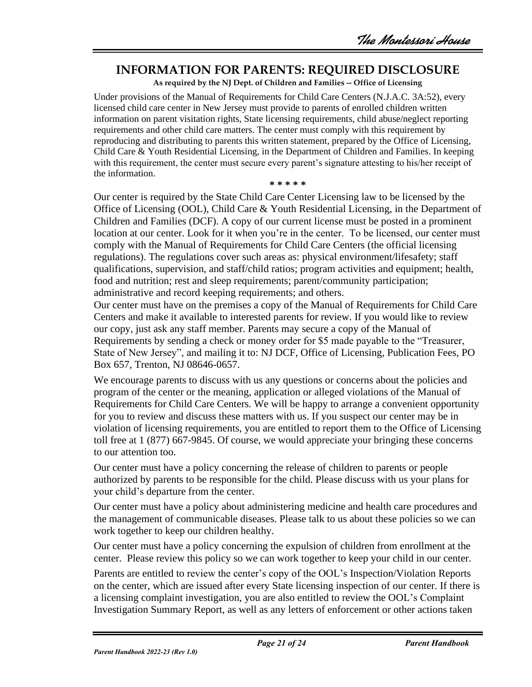## **INFORMATION FOR PARENTS: REQUIRED DISCLOSURE**

**As required by the NJ Dept. of Children and Families -- Office of Licensing**

Under provisions of the Manual of Requirements for Child Care Centers (N.J.A.C. 3A:52), every licensed child care center in New Jersey must provide to parents of enrolled children written information on parent visitation rights, State licensing requirements, child abuse/neglect reporting requirements and other child care matters. The center must comply with this requirement by reproducing and distributing to parents this written statement, prepared by the Office of Licensing, Child Care & Youth Residential Licensing, in the Department of Children and Families. In keeping with this requirement, the center must secure every parent's signature attesting to his/her receipt of the information.

**\* \* \* \* \***

Our center is required by the State Child Care Center Licensing law to be licensed by the Office of Licensing (OOL), Child Care & Youth Residential Licensing, in the Department of Children and Families (DCF). A copy of our current license must be posted in a prominent location at our center. Look for it when you're in the center. To be licensed, our center must comply with the Manual of Requirements for Child Care Centers (the official licensing regulations). The regulations cover such areas as: physical environment/lifesafety; staff qualifications, supervision, and staff/child ratios; program activities and equipment; health, food and nutrition; rest and sleep requirements; parent/community participation; administrative and record keeping requirements; and others.

Our center must have on the premises a copy of the Manual of Requirements for Child Care Centers and make it available to interested parents for review. If you would like to review our copy, just ask any staff member. Parents may secure a copy of the Manual of Requirements by sending a check or money order for \$5 made payable to the "Treasurer, State of New Jersey", and mailing it to: NJ DCF, Office of Licensing, Publication Fees, PO Box 657, Trenton, NJ 08646-0657.

We encourage parents to discuss with us any questions or concerns about the policies and program of the center or the meaning, application or alleged violations of the Manual of Requirements for Child Care Centers. We will be happy to arrange a convenient opportunity for you to review and discuss these matters with us. If you suspect our center may be in violation of licensing requirements, you are entitled to report them to the Office of Licensing toll free at 1 (877) 667-9845. Of course, we would appreciate your bringing these concerns to our attention too.

Our center must have a policy concerning the release of children to parents or people authorized by parents to be responsible for the child. Please discuss with us your plans for your child's departure from the center.

Our center must have a policy about administering medicine and health care procedures and the management of communicable diseases. Please talk to us about these policies so we can work together to keep our children healthy.

Our center must have a policy concerning the expulsion of children from enrollment at the center. Please review this policy so we can work together to keep your child in our center.

Parents are entitled to review the center's copy of the OOL's Inspection/Violation Reports on the center, which are issued after every State licensing inspection of our center. If there is a licensing complaint investigation, you are also entitled to review the OOL's Complaint Investigation Summary Report, as well as any letters of enforcement or other actions taken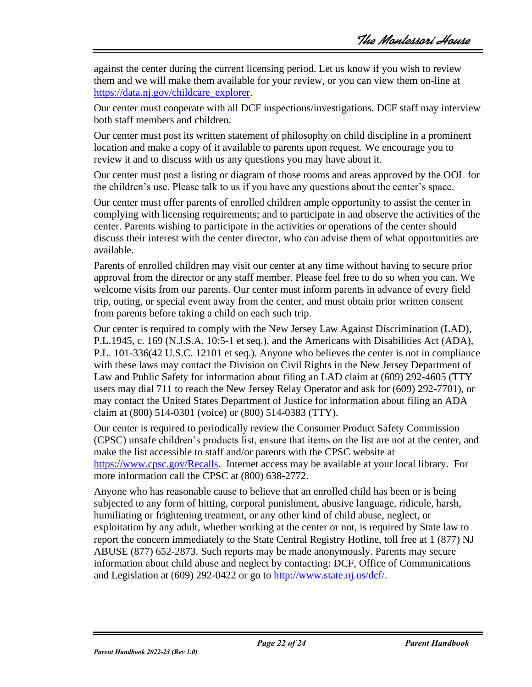against the center during the current licensing period. Let us know if you wish to review them and we will make them available for your review, or you can view them on-line at [https://data.nj.gov/childcare\\_explorer.](https://data.nj.gov/childcare_explorer)

Our center must cooperate with all DCF inspections/investigations. DCF staff may interview both staff members and children.

Our center must post its written statement of philosophy on child discipline in a prominent location and make a copy of it available to parents upon request. We encourage you to review it and to discuss with us any questions you may have about it.

Our center must post a listing or diagram of those rooms and areas approved by the OOL for the children's use. Please talk to us if you have any questions about the center's space.

Our center must offer parents of enrolled children ample opportunity to assist the center in complying with licensing requirements; and to participate in and observe the activities of the center. Parents wishing to participate in the activities or operations of the center should discuss their interest with the center director, who can advise them of what opportunities are available.

Parents of enrolled children may visit our center at any time without having to secure prior approval from the director or any staff member. Please feel free to do so when you can. We welcome visits from our parents. Our center must inform parents in advance of every field trip, outing, or special event away from the center, and must obtain prior written consent from parents before taking a child on each such trip.

Our center is required to comply with the New Jersey Law Against Discrimination (LAD), P.L.1945, c. 169 (N.J.S.A. 10:5-1 et seq.), and the Americans with Disabilities Act (ADA), P.L. 101-336(42 U.S.C. 12101 et seq.). Anyone who believes the center is not in compliance with these laws may contact the Division on Civil Rights in the New Jersey Department of Law and Public Safety for information about filing an LAD claim at (609) 292-4605 (TTY users may dial 711 to reach the New Jersey Relay Operator and ask for (609) 292-7701), or may contact the United States Department of Justice for information about filing an ADA claim at (800) 514-0301 (voice) or (800) 514-0383 (TTY).

Our center is required to periodically review the Consumer Product Safety Commission (CPSC) unsafe children's products list, ensure that items on the list are not at the center, and make the list accessible to staff and/or parents with the CPSC website at [https://www.cpsc.gov/Recalls.](https://www.cpsc.gov/Recalls) Internet access may be available at your local library. For more information call the CPSC at (800) 638-2772.

Anyone who has reasonable cause to believe that an enrolled child has been or is being subjected to any form of hitting, corporal punishment, abusive language, ridicule, harsh, humiliating or frightening treatment, or any other kind of child abuse, neglect, or exploitation by any adult, whether working at the center or not, is required by State law to report the concern immediately to the State Central Registry Hotline, toll free at 1 (877) NJ ABUSE (877) 652-2873. Such reports may be made anonymously. Parents may secure information about child abuse and neglect by contacting: DCF, Office of Communications and Legislation at (609) 292-0422 or go to [http://www.state.nj.us/dcf/.](http://www.state.nj.us/dcf/)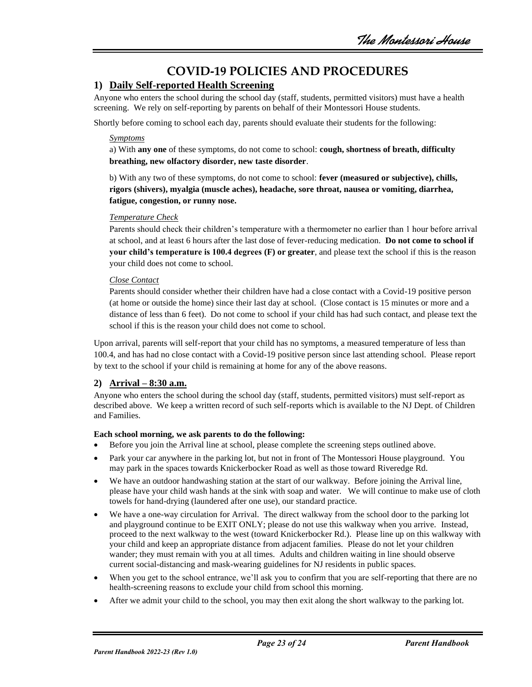## **COVID-19 POLICIES AND PROCEDURES**

### **1) Daily Self-reported Health Screening**

Anyone who enters the school during the school day (staff, students, permitted visitors) must have a health screening. We rely on self-reporting by parents on behalf of their Montessori House students.

Shortly before coming to school each day, parents should evaluate their students for the following:

#### *Symptoms*

a) With **any one** of these symptoms, do not come to school: **cough, shortness of breath, difficulty breathing, new olfactory disorder, new taste disorder**.

b) With any two of these symptoms, do not come to school: **fever (measured or subjective), chills, rigors (shivers), myalgia (muscle aches), headache, sore throat, nausea or vomiting, diarrhea, fatigue, congestion, or runny nose.**

#### *Temperature Check*

Parents should check their children's temperature with a thermometer no earlier than 1 hour before arrival at school, and at least 6 hours after the last dose of fever-reducing medication. **Do not come to school if your child's temperature is 100.4 degrees (F) or greater**, and please text the school if this is the reason your child does not come to school.

#### *Close Contact*

Parents should consider whether their children have had a close contact with a Covid-19 positive person (at home or outside the home) since their last day at school. (Close contact is 15 minutes or more and a distance of less than 6 feet). Do not come to school if your child has had such contact, and please text the school if this is the reason your child does not come to school.

Upon arrival, parents will self-report that your child has no symptoms, a measured temperature of less than 100.4, and has had no close contact with a Covid-19 positive person since last attending school. Please report by text to the school if your child is remaining at home for any of the above reasons.

#### **2) Arrival – 8:30 a.m.**

Anyone who enters the school during the school day (staff, students, permitted visitors) must self-report as described above. We keep a written record of such self-reports which is available to the NJ Dept. of Children and Families.

#### **Each school morning, we ask parents to do the following:**

- Before you join the Arrival line at school, please complete the screening steps outlined above.
- Park your car anywhere in the parking lot, but not in front of The Montessori House playground. You may park in the spaces towards Knickerbocker Road as well as those toward Riveredge Rd.
- We have an outdoor handwashing station at the start of our walkway. Before joining the Arrival line, please have your child wash hands at the sink with soap and water. We will continue to make use of cloth towels for hand-drying (laundered after one use), our standard practice.
- We have a one-way circulation for Arrival. The direct walkway from the school door to the parking lot and playground continue to be EXIT ONLY; please do not use this walkway when you arrive. Instead, proceed to the next walkway to the west (toward Knickerbocker Rd.). Please line up on this walkway with your child and keep an appropriate distance from adjacent families. Please do not let your children wander; they must remain with you at all times. Adults and children waiting in line should observe current social-distancing and mask-wearing guidelines for NJ residents in public spaces.
- When you get to the school entrance, we'll ask you to confirm that you are self-reporting that there are no health-screening reasons to exclude your child from school this morning.
- After we admit your child to the school, you may then exit along the short walkway to the parking lot.